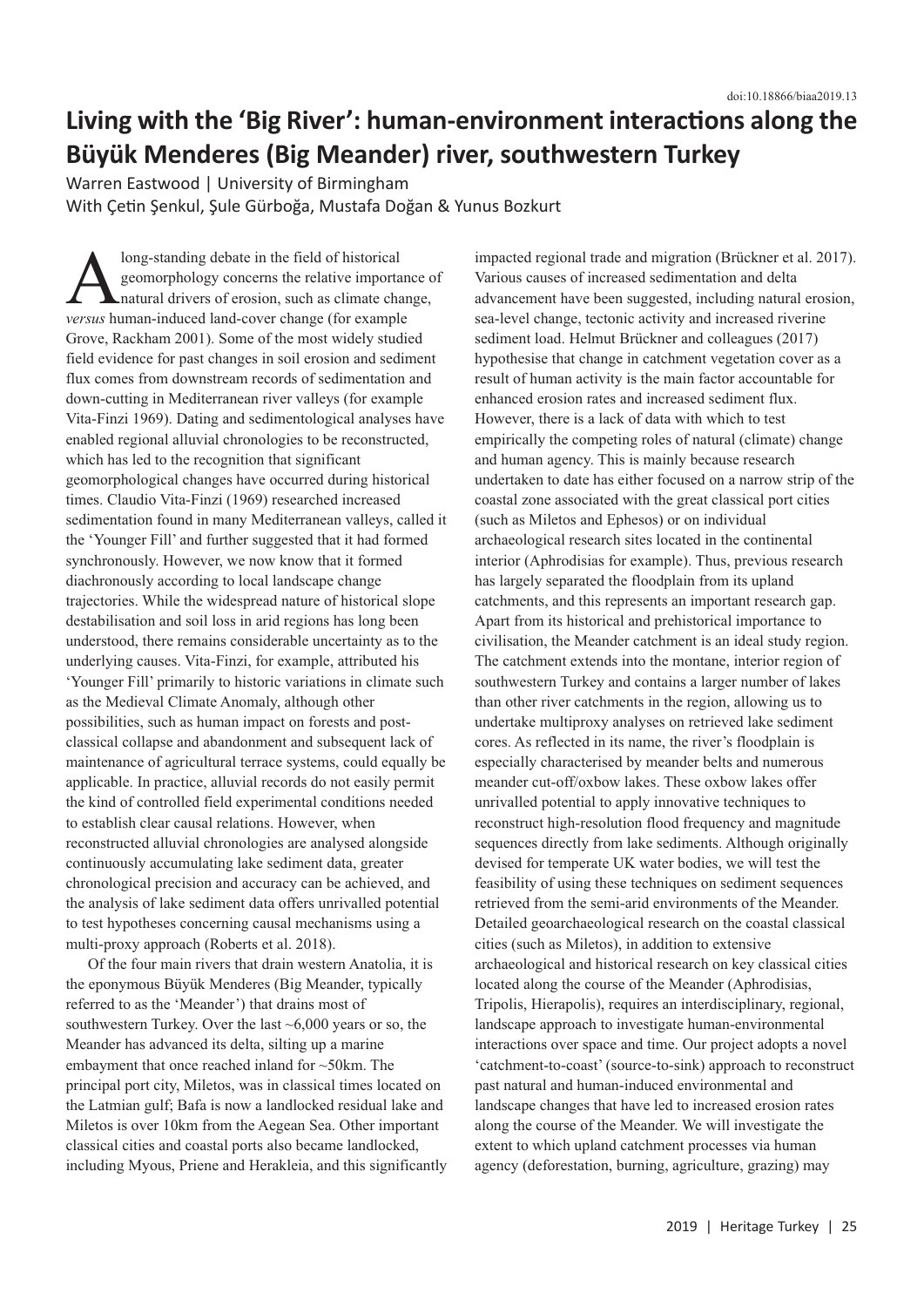## **Living with the 'Big River': human-environment interactions along the Büyük Menderes (Big Meander) river, southwestern Turkey**

Warren Eastwood | University of Birmingham With Çetin Şenkul, Şule Gürboğa, Mustafa Doğan & Yunus Bozkurt

long-standing debate in the field of historical<br>geomorphology concerns the relative imports<br>natural drivers of erosion, such as climate chi-<br>versus human-induced land-cover change (for example) geomorphology concerns the relative importance of natural drivers of erosion, such as climate change, *versus* human-induced land-cover change (for example Grove, Rackham 2001). Some of the most widely studied field evidence for past changes in soil erosion and sediment flux comes from downstream records of sedimentation and down-cutting in Mediterranean river valleys (for example Vita-Finzi 1969). Dating and sedimentological analyses have enabled regional alluvial chronologies to be reconstructed, which has led to the recognition that significant geomorphological changes have occurred during historical times. Claudio Vita-Finzi (1969) researched increased sedimentation found in many Mediterranean valleys, called it the 'Younger Fill' and further suggested that it had formed synchronously. However, we now know that it formed diachronously according to local landscape change trajectories. While the widespread nature of historical slope destabilisation and soil loss in arid regions has long been understood, there remains considerable uncertainty as to the underlying causes. Vita-Finzi, for example, attributed his 'Younger Fill' primarily to historic variations in climate such as the Medieval Climate Anomaly, although other possibilities, such as human impact on forests and postclassical collapse and abandonment and subsequent lack of maintenance of agricultural terrace systems, could equally be applicable. In practice, alluvial records do not easily permit the kind of controlled field experimental conditions needed to establish clear causal relations. However, when reconstructed alluvial chronologies are analysed alongside continuously accumulating lake sediment data, greater chronological precision and accuracy can be achieved, and the analysis of lake sediment data offers unrivalled potential to test hypotheses concerning causal mechanisms using a multi-proxy approach (Roberts et al. 2018).

Of the four main rivers that drain western Anatolia, it is the eponymous Büyük Menderes (Big Meander, typically referred to as the 'Meander') that drains most of southwestern Turkey. Over the last ~6,000 years or so, the Meander has advanced its delta, silting up a marine embayment that once reached inland for ~50km. The principal port city, Miletos, was in classical times located on the Latmian gulf; Bafa is now a landlocked residual lake and Miletos is over 10km from the Aegean Sea. Other important classical cities and coastal ports also became landlocked, including Myous, Priene and Herakleia, and this significantly impacted regional trade and migration (Brückner et al. 2017). Various causes of increased sedimentation and delta advancement have been suggested, including natural erosion, sea-level change, tectonic activity and increased riverine sediment load. Helmut Brückner and colleagues (2017) hypothesise that change in catchment vegetation cover as a result of human activity is the main factor accountable for enhanced erosion rates and increased sediment flux. However, there is a lack of data with which to test empirically the competing roles of natural (climate) change and human agency. This is mainly because research undertaken to date has either focused on a narrow strip of the coastal zone associated with the great classical port cities (such as Miletos and Ephesos) or on individual archaeological research sites located in the continental interior (Aphrodisias for example). Thus, previous research has largely separated the floodplain from its upland catchments, and this represents an important research gap. Apart from its historical and prehistorical importance to civilisation, the Meander catchment is an ideal study region. The catchment extends into the montane, interior region of southwestern Turkey and contains a larger number of lakes than other river catchments in the region, allowing us to undertake multiproxy analyses on retrieved lake sediment cores. As reflected in its name, the river's floodplain is especially characterised by meander belts and numerous meander cut-off/oxbow lakes. These oxbow lakes offer unrivalled potential to apply innovative techniques to reconstruct high-resolution flood frequency and magnitude sequences directly from lake sediments. Although originally devised for temperate UK water bodies, we will test the feasibility of using these techniques on sediment sequences retrieved from the semi-arid environments of the Meander. Detailed geoarchaeological research on the coastal classical cities (such as Miletos), in addition to extensive archaeological and historical research on key classical cities located along the course of the Meander (Aphrodisias, Tripolis, Hierapolis), requires an interdisciplinary, regional, landscape approach to investigate human-environmental interactions over space and time. Our project adopts a novel 'catchment-to-coast' (source-to-sink) approach to reconstruct past natural and human-induced environmental and landscape changes that have led to increased erosion rates along the course of the Meander. We will investigate the extent to which upland catchment processes via human agency (deforestation, burning, agriculture, grazing) may